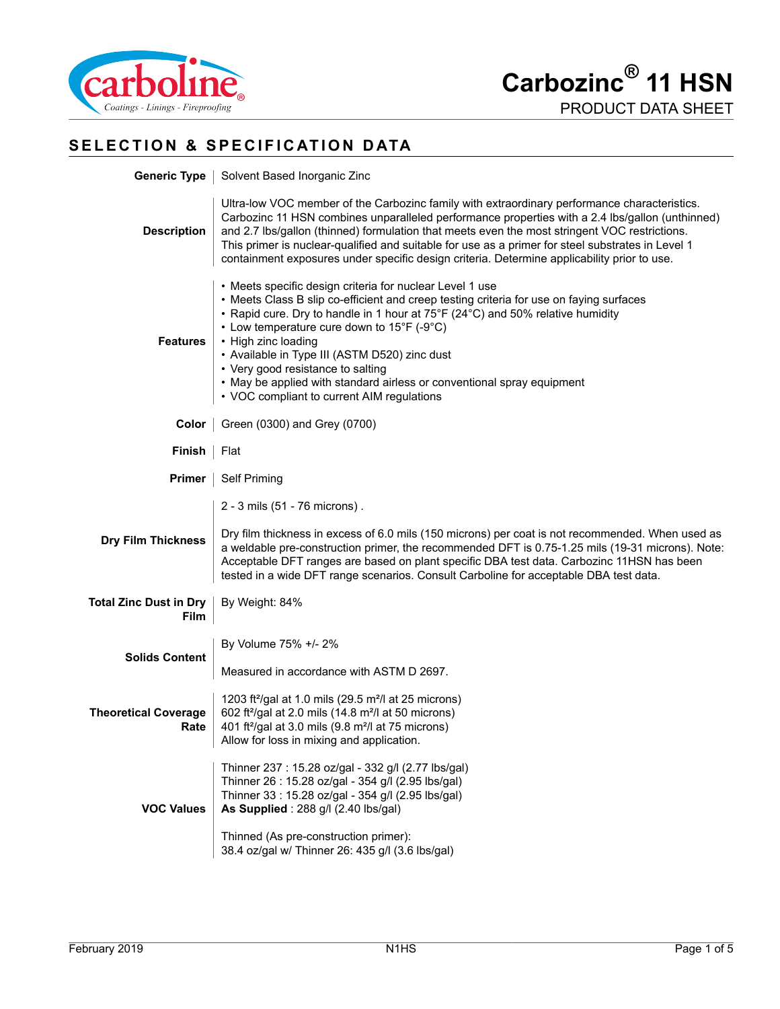

# **SELECTION & SPECIFICATION DATA**

| <b>Generic Type</b>                          | Solvent Based Inorganic Zinc                                                                                                                                                                                                                                                                                                                                                                                                                                                                                                                 |  |
|----------------------------------------------|----------------------------------------------------------------------------------------------------------------------------------------------------------------------------------------------------------------------------------------------------------------------------------------------------------------------------------------------------------------------------------------------------------------------------------------------------------------------------------------------------------------------------------------------|--|
| <b>Description</b>                           | Ultra-low VOC member of the Carbozinc family with extraordinary performance characteristics.<br>Carbozinc 11 HSN combines unparalleled performance properties with a 2.4 lbs/gallon (unthinned)<br>and 2.7 lbs/gallon (thinned) formulation that meets even the most stringent VOC restrictions.<br>This primer is nuclear-qualified and suitable for use as a primer for steel substrates in Level 1<br>containment exposures under specific design criteria. Determine applicability prior to use.                                         |  |
| <b>Features</b>                              | • Meets specific design criteria for nuclear Level 1 use<br>• Meets Class B slip co-efficient and creep testing criteria for use on faying surfaces<br>• Rapid cure. Dry to handle in 1 hour at 75°F (24°C) and 50% relative humidity<br>• Low temperature cure down to $15^{\circ}F$ (-9 $^{\circ}C$ )<br>• High zinc loading<br>• Available in Type III (ASTM D520) zinc dust<br>• Very good resistance to salting<br>• May be applied with standard airless or conventional spray equipment<br>• VOC compliant to current AIM regulations |  |
| Color                                        | Green (0300) and Grey (0700)                                                                                                                                                                                                                                                                                                                                                                                                                                                                                                                 |  |
| Finish                                       | Flat                                                                                                                                                                                                                                                                                                                                                                                                                                                                                                                                         |  |
| Primer                                       | <b>Self Priming</b>                                                                                                                                                                                                                                                                                                                                                                                                                                                                                                                          |  |
| <b>Dry Film Thickness</b>                    | 2 - 3 mils (51 - 76 microns).<br>Dry film thickness in excess of 6.0 mils (150 microns) per coat is not recommended. When used as<br>a weldable pre-construction primer, the recommended DFT is 0.75-1.25 mils (19-31 microns). Note:<br>Acceptable DFT ranges are based on plant specific DBA test data. Carbozinc 11HSN has been<br>tested in a wide DFT range scenarios. Consult Carboline for acceptable DBA test data.                                                                                                                  |  |
| <b>Total Zinc Dust in Dry</b><br><b>Film</b> | By Weight: 84%                                                                                                                                                                                                                                                                                                                                                                                                                                                                                                                               |  |
| <b>Solids Content</b>                        | By Volume 75% +/- 2%<br>Measured in accordance with ASTM D 2697.                                                                                                                                                                                                                                                                                                                                                                                                                                                                             |  |
| <b>Theoretical Coverage</b><br>Rate          | 1203 ft <sup>2</sup> /gal at 1.0 mils (29.5 m <sup>2</sup> /l at 25 microns)<br>602 ft <sup>2</sup> /gal at 2.0 mils (14.8 m <sup>2</sup> /l at 50 microns)<br>401 ft <sup>2</sup> /gal at 3.0 mils (9.8 m <sup>2</sup> /l at 75 microns)<br>Allow for loss in mixing and application.                                                                                                                                                                                                                                                       |  |
| <b>VOC Values</b>                            | Thinner 237 : 15.28 oz/gal - 332 g/l (2.77 lbs/gal)<br>Thinner 26: 15.28 oz/gal - 354 g/l (2.95 lbs/gal)<br>Thinner 33: 15.28 oz/gal - 354 g/l (2.95 lbs/gal)<br>As Supplied: 288 g/l (2.40 lbs/gal)<br>Thinned (As pre-construction primer):<br>38.4 oz/gal w/ Thinner 26: 435 g/l (3.6 lbs/gal)                                                                                                                                                                                                                                            |  |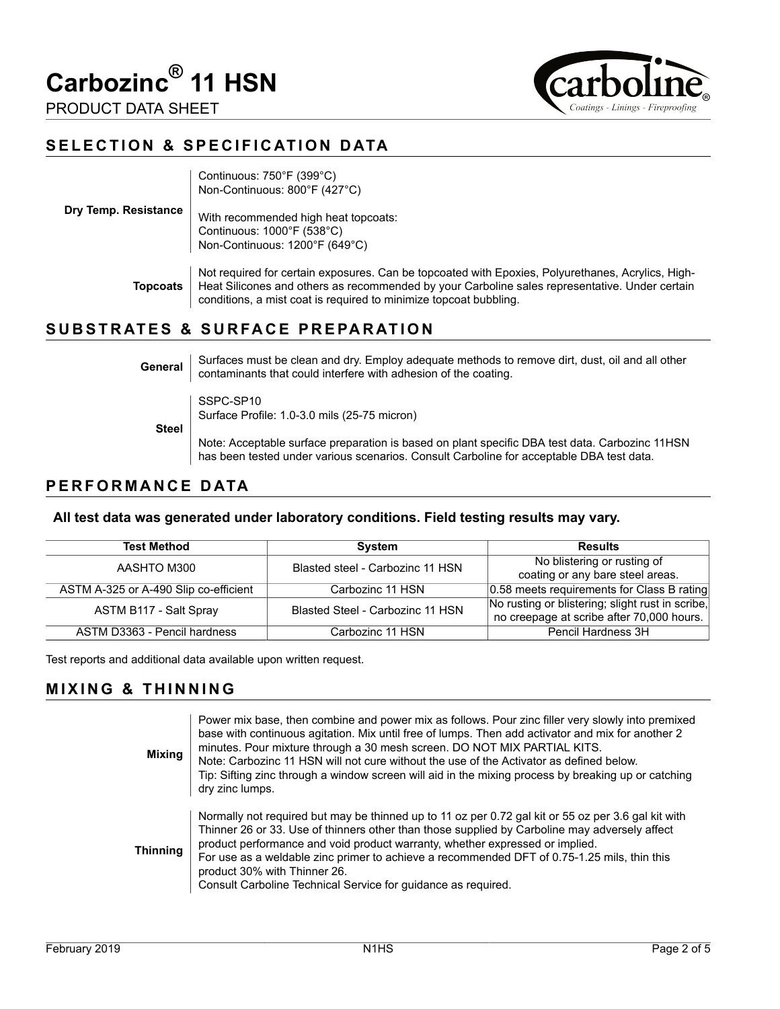

PRODUCT DATA SHEET

| <b>ITDOIII</b> |                                   |
|----------------|-----------------------------------|
|                | Coatings - Linings - Fireproofing |

#### **SELECTION & SPECIFICATION DATA**

|                      | Continuous: 750°F (399°C)<br>Non-Continuous: 800°F (427°C)                                                                                                                                                                                                               |
|----------------------|--------------------------------------------------------------------------------------------------------------------------------------------------------------------------------------------------------------------------------------------------------------------------|
| Dry Temp. Resistance | With recommended high heat topcoats:<br>Continuous: $1000^{\circ}F(538^{\circ}C)$<br>Non-Continuous: 1200°F (649°C)                                                                                                                                                      |
| Topcoats             | Not required for certain exposures. Can be topcoated with Epoxies, Polyurethanes, Acrylics, High-<br>Heat Silicones and others as recommended by your Carboline sales representative. Under certain<br>conditions, a mist coat is required to minimize topcoat bubbling. |
|                      |                                                                                                                                                                                                                                                                          |

#### **SUBSTRATES & SURFACE PREPARATION**

| General | Surfaces must be clean and dry. Employ adequate methods to remove dirt, dust, oil and all other<br>contaminants that could interfere with adhesion of the coating. |
|---------|--------------------------------------------------------------------------------------------------------------------------------------------------------------------|
| Steel   | SSPC-SP10<br>Surface Profile: 1.0-3.0 mils (25-75 micron)                                                                                                          |

Note: Acceptable surface preparation is based on plant specific DBA test data. Carbozinc 11HSN has been tested under various scenarios. Consult Carboline for acceptable DBA test data.

## **PERFORMANCE DATA**

#### **All test data was generated under laboratory conditions. Field testing results may vary.**

| <b>Test Method</b>                    | <b>System</b>                    | <b>Results</b>                                   |
|---------------------------------------|----------------------------------|--------------------------------------------------|
| AASHTO M300                           | Blasted steel - Carbozinc 11 HSN | No blistering or rusting of                      |
|                                       |                                  | coating or any bare steel areas.                 |
| ASTM A-325 or A-490 Slip co-efficient | Carbozinc 11 HSN                 | 0.58 meets requirements for Class B rating       |
| ASTM B117 - Salt Spray                | Blasted Steel - Carbozinc 11 HSN | No rusting or blistering; slight rust in scribe, |
|                                       |                                  | no creepage at scribe after 70,000 hours.        |
| ASTM D3363 - Pencil hardness          | Carbozinc 11 HSN                 | Pencil Hardness 3H                               |

Test reports and additional data available upon written request.

#### **MIXING & THINNING**

| <b>Mixing</b>   | Power mix base, then combine and power mix as follows. Pour zinc filler very slowly into premixed<br>base with continuous agitation. Mix until free of lumps. Then add activator and mix for another 2<br>minutes. Pour mixture through a 30 mesh screen. DO NOT MIX PARTIAL KITS.<br>Note: Carbozinc 11 HSN will not cure without the use of the Activator as defined below.<br>Tip: Sifting zinc through a window screen will aid in the mixing process by breaking up or catching<br>dry zinc lumps. |
|-----------------|---------------------------------------------------------------------------------------------------------------------------------------------------------------------------------------------------------------------------------------------------------------------------------------------------------------------------------------------------------------------------------------------------------------------------------------------------------------------------------------------------------|
| <b>Thinning</b> | Normally not required but may be thinned up to 11 oz per 0.72 gal kit or 55 oz per 3.6 gal kit with<br>Thinner 26 or 33. Use of thinners other than those supplied by Carboline may adversely affect<br>product performance and void product warranty, whether expressed or implied.<br>For use as a weldable zinc primer to achieve a recommended DFT of 0.75-1.25 mils, thin this<br>product 30% with Thinner 26.<br>Consult Carboline Technical Service for guidance as required.                    |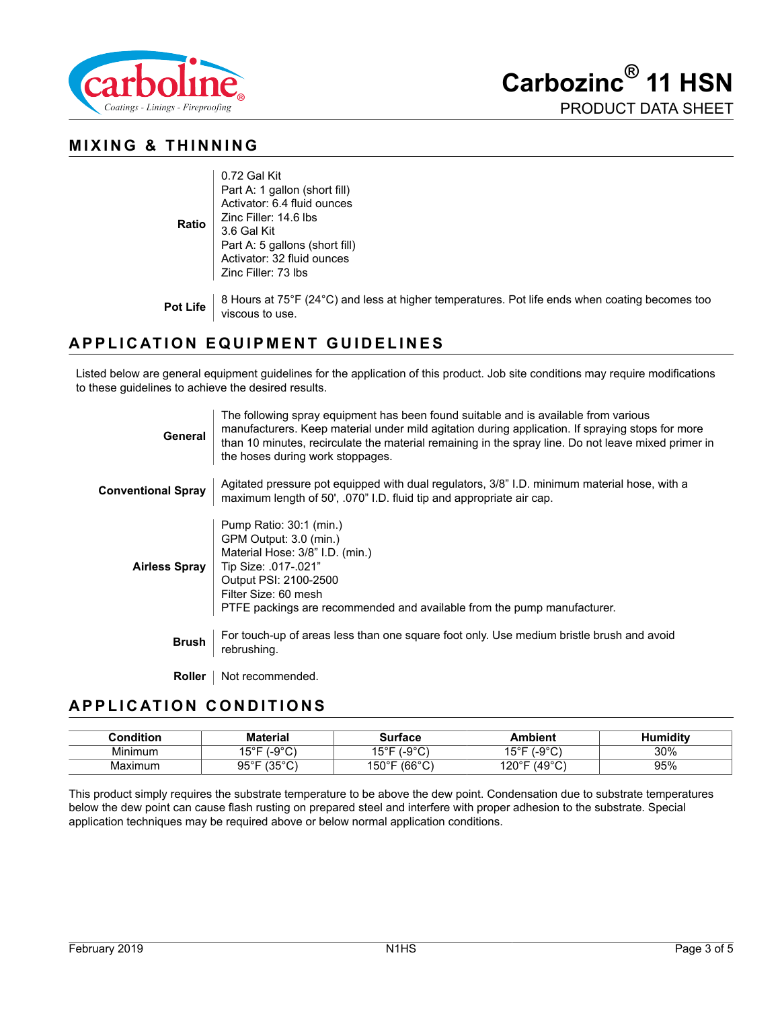

**Carbozinc® 11 HSN** PRODUCT DATA SHEET

#### **MIXING & THINNING**

| Zinc Filler: 14.6 lbs<br>Ratio<br>3.6 Gal Kit<br>Part A: 5 gallons (short fill)<br>Activator: 32 fluid ounces<br>Zinc Filler: 73 lbs |  | 0.72 Gal Kit<br>Part A: 1 gallon (short fill)<br>Activator: 6.4 fluid ounces |
|--------------------------------------------------------------------------------------------------------------------------------------|--|------------------------------------------------------------------------------|
|--------------------------------------------------------------------------------------------------------------------------------------|--|------------------------------------------------------------------------------|

**Pot Life** 8 Hours at 75°F (24°C) and less at higher temperatures. Pot life ends when coating becomes too<br>viscous to use.

# **APPLICATION EQUIPMENT GUIDELINES**

Listed below are general equipment guidelines for the application of this product. Job site conditions may require modifications to these guidelines to achieve the desired results.

| <b>General</b>            | The following spray equipment has been found suitable and is available from various<br>manufacturers. Keep material under mild agitation during application. If spraying stops for more<br>than 10 minutes, recirculate the material remaining in the spray line. Do not leave mixed primer in<br>the hoses during work stoppages. |
|---------------------------|------------------------------------------------------------------------------------------------------------------------------------------------------------------------------------------------------------------------------------------------------------------------------------------------------------------------------------|
| <b>Conventional Spray</b> | Agitated pressure pot equipped with dual regulators, 3/8" I.D. minimum material hose, with a<br>maximum length of 50', 070" I.D. fluid tip and appropriate air cap.                                                                                                                                                                |
| <b>Airless Spray</b>      | Pump Ratio: 30:1 (min.)<br>GPM Output: 3.0 (min.)<br>Material Hose: 3/8" I.D. (min.)<br>Tip Size: .017-.021"<br>Output PSI: 2100-2500<br>Filter Size: 60 mesh<br>PTFE packings are recommended and available from the pump manufacturer.                                                                                           |
| <b>Brush</b>              | For touch-up of areas less than one square foot only. Use medium bristle brush and avoid<br>rebrushing.                                                                                                                                                                                                                            |
| <b>Roller</b>             | Not recommended.                                                                                                                                                                                                                                                                                                                   |

#### **APPLICATION CONDITIONS**

| Condition | <b>Material</b>                    | Surface                         | Ambient         | Humiditv |
|-----------|------------------------------------|---------------------------------|-----------------|----------|
| Minimum   | ∴o∘C∵<br>.5°F                      | -9°C`<br>1 ⊑°⊏<br>ـ ب،          | .-9°C`<br>15°F⊣ | 30%      |
| Maximum   | $95^\circ$ F<br>$12E^{\circ}$<br>ິ | $(66^{\circ}$ C<br>150°F<br>َ ب | ശ∘ല<br>120°F    | 95%      |

This product simply requires the substrate temperature to be above the dew point. Condensation due to substrate temperatures below the dew point can cause flash rusting on prepared steel and interfere with proper adhesion to the substrate. Special application techniques may be required above or below normal application conditions.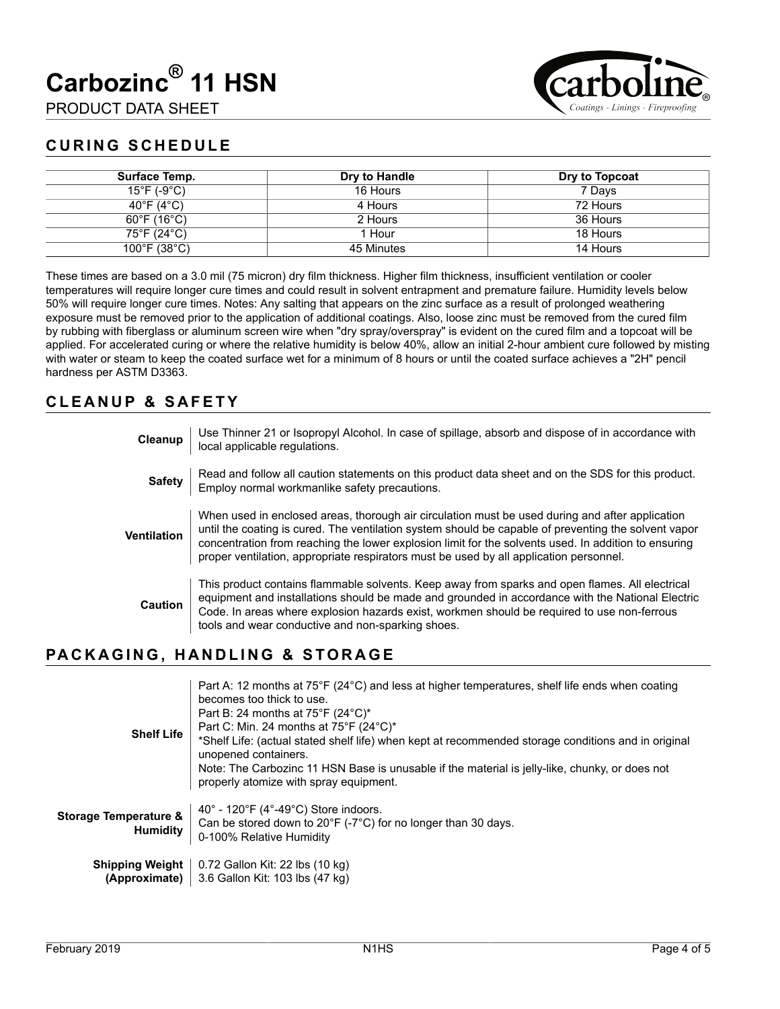# **Carbozinc® 11 HSN**

PRODUCT DATA SHEET



### **CURING SCHEDULE**

| Surface Temp.                     | Dry to Handle | Dry to Topcoat |
|-----------------------------------|---------------|----------------|
| $15^{\circ}$ F (-9 $^{\circ}$ C)  | 16 Hours      | 7 Days         |
| 40°F (4°C)                        | 4 Hours       | 72 Hours       |
| $60^{\circ}$ F (16 $^{\circ}$ C)  | 2 Hours       | 36 Hours       |
| 75°F (24°C)                       | 1 Hour        | 18 Hours       |
| $100^{\circ}$ F (38 $^{\circ}$ C) | 45 Minutes    | 14 Hours       |

These times are based on a 3.0 mil (75 micron) dry film thickness. Higher film thickness, insufficient ventilation or cooler temperatures will require longer cure times and could result in solvent entrapment and premature failure. Humidity levels below 50% will require longer cure times. Notes: Any salting that appears on the zinc surface as a result of prolonged weathering exposure must be removed prior to the application of additional coatings. Also, loose zinc must be removed from the cured film by rubbing with fiberglass or aluminum screen wire when "dry spray/overspray" is evident on the cured film and a topcoat will be applied. For accelerated curing or where the relative humidity is below 40%, allow an initial 2-hour ambient cure followed by misting with water or steam to keep the coated surface wet for a minimum of 8 hours or until the coated surface achieves a "2H" pencil hardness per ASTM D3363.

#### **CLEANUP & SAFETY**

| Cleanup       | Use Thinner 21 or Isopropyl Alcohol. In case of spillage, absorb and dispose of in accordance with<br>local applicable regulations.                                                                                                                                                                                                                                                                       |
|---------------|-----------------------------------------------------------------------------------------------------------------------------------------------------------------------------------------------------------------------------------------------------------------------------------------------------------------------------------------------------------------------------------------------------------|
| <b>Safety</b> | Read and follow all caution statements on this product data sheet and on the SDS for this product.<br>Employ normal workmanlike safety precautions.                                                                                                                                                                                                                                                       |
| Ventilation   | When used in enclosed areas, thorough air circulation must be used during and after application<br>until the coating is cured. The ventilation system should be capable of preventing the solvent vapor<br>concentration from reaching the lower explosion limit for the solvents used. In addition to ensuring<br>proper ventilation, appropriate respirators must be used by all application personnel. |
| Caution       | This product contains flammable solvents. Keep away from sparks and open flames. All electrical<br>equipment and installations should be made and grounded in accordance with the National Electric<br>Code. In areas where explosion hazards exist, workmen should be required to use non-ferrous<br>tools and wear conductive and non-sparking shoes.                                                   |

#### **PACKAGING, HANDLING & STORAGE**

| <b>Shelf Life</b>                                   | Part A: 12 months at 75°F (24°C) and less at higher temperatures, shelf life ends when coating<br>becomes too thick to use.<br>Part B: 24 months at $75^{\circ}F$ (24 $^{\circ}C$ )*<br>Part C: Min. 24 months at 75°F (24°C)*<br>*Shelf Life: (actual stated shelf life) when kept at recommended storage conditions and in original<br>unopened containers.<br>Note: The Carbozinc 11 HSN Base is unusable if the material is jelly-like, chunky, or does not<br>properly atomize with spray equipment. |
|-----------------------------------------------------|-----------------------------------------------------------------------------------------------------------------------------------------------------------------------------------------------------------------------------------------------------------------------------------------------------------------------------------------------------------------------------------------------------------------------------------------------------------------------------------------------------------|
| <b>Storage Temperature &amp;</b><br><b>Humidity</b> | 40 $^{\circ}$ - 120 $^{\circ}$ F (4 $^{\circ}$ -49 $^{\circ}$ C) Store indoors.<br>Can be stored down to $20^{\circ}F$ (-7 $^{\circ}C$ ) for no longer than 30 days.<br>0-100% Relative Humidity                                                                                                                                                                                                                                                                                                          |
| <b>Shipping Weight</b><br>(Approximate)             | 0.72 Gallon Kit: 22 lbs (10 kg)<br>3.6 Gallon Kit: 103 lbs (47 kg)                                                                                                                                                                                                                                                                                                                                                                                                                                        |